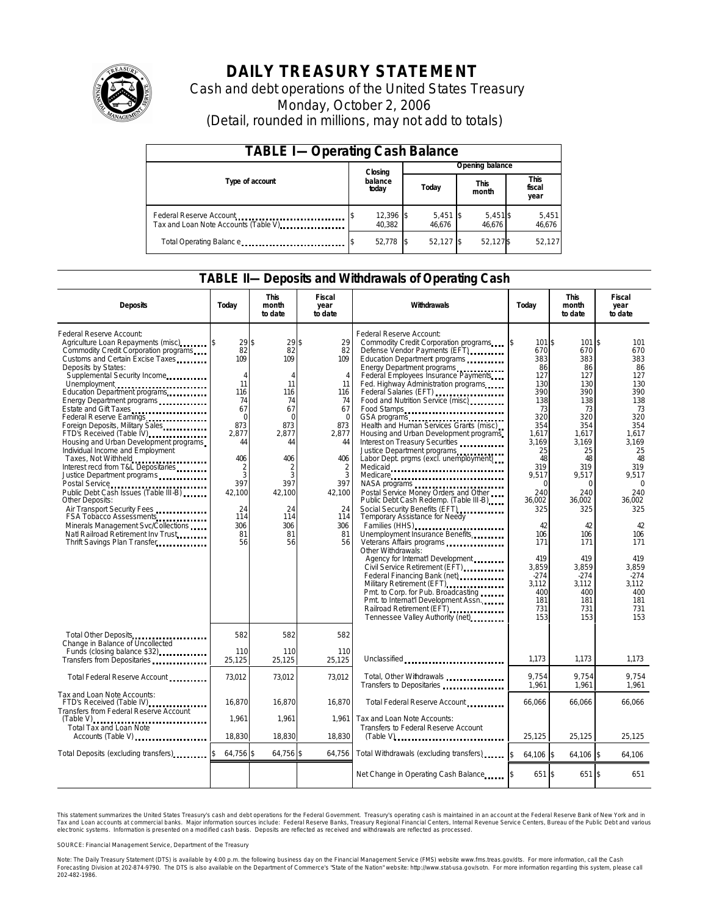

# **DAILY TREASURY STATEMENT**

Cash and debt operations of the United States Treasury Monday, October 2, 2006 (Detail, rounded in millions, may not add to totals)

| <b>TABLE I-Operating Cash Balance</b>                           |  |                       |  |                      |  |                      |  |                               |  |
|-----------------------------------------------------------------|--|-----------------------|--|----------------------|--|----------------------|--|-------------------------------|--|
|                                                                 |  | Closing               |  | Opening balance      |  |                      |  |                               |  |
| Type of account                                                 |  | balance<br>today      |  | Today                |  | <b>This</b><br>month |  | <b>This</b><br>fiscal<br>year |  |
| Federal Reserve Account<br>Tax and Loan Note Accounts (Table V) |  | $12,396$ \$<br>40.382 |  | $5,451$ \$<br>46.676 |  | $5,451$ \$<br>46.676 |  | 5,451<br>46,676               |  |
| Total Operating Balance                                         |  | 52.778 \$             |  | 52.127 \$            |  | 52,127\$             |  | 52.127                        |  |

## **TABLE II—Deposits and Withdrawals of Operating Cash**

| <b>Deposits</b>                                                                                                                                                                                                                                                                                                                                                                                                                                                                                                                                                                                                                                                                                                                                                                                                       | Today                                                                                                                                                                  | <b>This</b><br>month<br>to date                                                                                                                                                  | <b>Fiscal</b><br>year<br>to date                                                                                                                                               | Withdrawals                                                                                                                                                                                                                                                                                                                                                                                                                                                                                                                                                                                                                                                                                                                                                                                                                                                                                                                                                                                                                                                                             | Today                                                                                                                                                                                                                                          | <b>This</b><br>month<br>to date                                                                                                                                                                                                               | <b>Fiscal</b><br>year<br>to date                                                                                                                                                                                                             |
|-----------------------------------------------------------------------------------------------------------------------------------------------------------------------------------------------------------------------------------------------------------------------------------------------------------------------------------------------------------------------------------------------------------------------------------------------------------------------------------------------------------------------------------------------------------------------------------------------------------------------------------------------------------------------------------------------------------------------------------------------------------------------------------------------------------------------|------------------------------------------------------------------------------------------------------------------------------------------------------------------------|----------------------------------------------------------------------------------------------------------------------------------------------------------------------------------|--------------------------------------------------------------------------------------------------------------------------------------------------------------------------------|-----------------------------------------------------------------------------------------------------------------------------------------------------------------------------------------------------------------------------------------------------------------------------------------------------------------------------------------------------------------------------------------------------------------------------------------------------------------------------------------------------------------------------------------------------------------------------------------------------------------------------------------------------------------------------------------------------------------------------------------------------------------------------------------------------------------------------------------------------------------------------------------------------------------------------------------------------------------------------------------------------------------------------------------------------------------------------------------|------------------------------------------------------------------------------------------------------------------------------------------------------------------------------------------------------------------------------------------------|-----------------------------------------------------------------------------------------------------------------------------------------------------------------------------------------------------------------------------------------------|----------------------------------------------------------------------------------------------------------------------------------------------------------------------------------------------------------------------------------------------|
| Federal Reserve Account:<br>Agriculture Loan Repayments (misc)<br>Commodity Credit Corporation programs<br>Customs and Certain Excise Taxes<br>Deposits by States:<br>Supplemental Security Income<br>Unemployment<br>Education Department programs<br>Energy Department programs<br>Estate and Gift Taxes<br>Federal Reserve Earnings<br>Foreign Deposits, Military Sales<br>FTD's Received (Table IV)<br>Housing and Urban Development programs<br>Individual Income and Employment<br>Taxes, Not Withheld<br>Interest recd from T&L Depositaries<br>Justice Department programs<br>Public Debt Cash Issues (Table III-B)<br>Other Deposits:<br>Air Transport Security Fees<br>FSA Tobacco Assessments<br>Minerals Management Svc/Collections<br>Natl Railroad Retirement Inv Trust<br>Thrift Savings Plan Transfer | $29$ \$<br>82<br>109<br>4<br>11<br>116<br>74<br>67<br>$\mathbf 0$<br>873<br>2.877<br>44<br>406<br>$\overline{2}$<br>3<br>397<br>42,100<br>24<br>114<br>306<br>81<br>56 | $29$ \$<br>82<br>109<br>$\overline{4}$<br>11<br>116<br>74<br>67<br>$\Omega$<br>873<br>2.877<br>44<br>406<br>$\overline{2}$<br>3<br>397<br>42,100<br>24<br>114<br>306<br>81<br>56 | 29<br>82<br>109<br>$\overline{4}$<br>11<br>116<br>74<br>67<br>$\mathbf 0$<br>873<br>2.877<br>44<br>406<br>$\overline{c}$<br>3<br>397<br>42,100<br>24<br>114<br>306<br>81<br>56 | Federal Reserve Account:<br>Commodity Credit Corporation programs<br>Defense Vendor Payments (EFT)<br>Education Department programs<br>Energy Department programs<br>Federal Employees Insurance Payments<br>Fed. Highway Administration programs<br>Federal Salaries (EFT)<br>Food and Nutrition Service (misc)<br>Food Stamps<br>GSA programs<br>Health and Human Services Grants (misc)<br>Housing and Urban Development programs<br>Interest on Treasury Securities<br>Justice Department programs<br>Labor Dept. prgms (excl. unemployment)<br>Medicaid<br>Medicare<br>NASA programs<br>Postal Service Money Orders and Other<br>Public Debt Cash Redemp. (Table III-B)<br>Social Security Benefits (EFT)<br><br>Temporary Assistance for Needy<br>Families (HHS)<br>Unemployment Insurance Benefits<br>Other Withdrawals:<br>Agency for Internat'l Development<br>Civil Service Retirement (EFT)<br>Military Retirement (EFT)<br>Pmt. to Corp. for Pub. Broadcasting<br>Pmt. to Internat'l Development Assn.<br>Railroad Retirement (EFT)<br><br>Tennessee Valley Authority (net) | \$<br>101 \$<br>670<br>383<br>86<br>127<br>130<br>390<br>138<br>73<br>320<br>354<br>1.617<br>3.169<br>25<br>48<br>319<br>9.517<br>O<br>240<br>36.002<br>325<br>42<br>106<br>171<br>419<br>3,859<br>$-274$<br>3,112<br>400<br>181<br>731<br>153 | 101S<br>670<br>383<br>86<br>127<br>130<br>390<br>138<br>73<br>320<br>354<br>1.617<br>3.169<br>25<br>48<br>319<br>9.517<br>$\Omega$<br>240<br>36.002<br>325<br>42<br>106<br>171<br>419<br>3,859<br>$-274$<br>3,112<br>400<br>181<br>731<br>153 | 101<br>670<br>383<br>86<br>127<br>130<br>390<br>138<br>73<br>320<br>354<br>1.617<br>3.169<br>25<br>48<br>319<br>9.517<br>$\Omega$<br>240<br>36.002<br>325<br>42<br>106<br>171<br>419<br>3,859<br>$-274$<br>3.112<br>400<br>181<br>731<br>153 |
| Total Other Deposits<br>Change in Balance of Uncollected<br>Funds (closing balance \$32)                                                                                                                                                                                                                                                                                                                                                                                                                                                                                                                                                                                                                                                                                                                              | 582<br>110                                                                                                                                                             | 582<br>110                                                                                                                                                                       | 582<br>110                                                                                                                                                                     |                                                                                                                                                                                                                                                                                                                                                                                                                                                                                                                                                                                                                                                                                                                                                                                                                                                                                                                                                                                                                                                                                         |                                                                                                                                                                                                                                                |                                                                                                                                                                                                                                               |                                                                                                                                                                                                                                              |
| Transfers from Depositaries                                                                                                                                                                                                                                                                                                                                                                                                                                                                                                                                                                                                                                                                                                                                                                                           | 25,125                                                                                                                                                                 | 25,125                                                                                                                                                                           | 25.125                                                                                                                                                                         | Unclassified                                                                                                                                                                                                                                                                                                                                                                                                                                                                                                                                                                                                                                                                                                                                                                                                                                                                                                                                                                                                                                                                            | 1,173                                                                                                                                                                                                                                          | 1,173                                                                                                                                                                                                                                         | 1,173                                                                                                                                                                                                                                        |
| Total Federal Reserve Account                                                                                                                                                                                                                                                                                                                                                                                                                                                                                                                                                                                                                                                                                                                                                                                         | 73,012                                                                                                                                                                 | 73,012                                                                                                                                                                           | 73.012                                                                                                                                                                         | Total, Other Withdrawals<br>Transfers to Depositaries                                                                                                                                                                                                                                                                                                                                                                                                                                                                                                                                                                                                                                                                                                                                                                                                                                                                                                                                                                                                                                   | 9.754<br>1,961                                                                                                                                                                                                                                 | 9.754<br>1,961                                                                                                                                                                                                                                | 9.754<br>1,961                                                                                                                                                                                                                               |
| Tax and Loan Note Accounts:<br>FTD's Received (Table IV)<br>Transfers from Federal Reserve Account                                                                                                                                                                                                                                                                                                                                                                                                                                                                                                                                                                                                                                                                                                                    | 16,870                                                                                                                                                                 | 16,870                                                                                                                                                                           | 16,870                                                                                                                                                                         | Total Federal Reserve Account                                                                                                                                                                                                                                                                                                                                                                                                                                                                                                                                                                                                                                                                                                                                                                                                                                                                                                                                                                                                                                                           | 66,066                                                                                                                                                                                                                                         | 66,066                                                                                                                                                                                                                                        | 66,066                                                                                                                                                                                                                                       |
| Total Tax and Loan Note<br>Accounts (Table V)                                                                                                                                                                                                                                                                                                                                                                                                                                                                                                                                                                                                                                                                                                                                                                         | 1,961<br>18,830                                                                                                                                                        | 1,961<br>18,830                                                                                                                                                                  | 1.961<br>18,830                                                                                                                                                                | Tax and Loan Note Accounts:<br>Transfers to Federal Reserve Account                                                                                                                                                                                                                                                                                                                                                                                                                                                                                                                                                                                                                                                                                                                                                                                                                                                                                                                                                                                                                     | 25.125                                                                                                                                                                                                                                         | 25.125                                                                                                                                                                                                                                        | 25,125                                                                                                                                                                                                                                       |
| Total Deposits (excluding transfers)                                                                                                                                                                                                                                                                                                                                                                                                                                                                                                                                                                                                                                                                                                                                                                                  | 64,756 \$                                                                                                                                                              | 64,756 \$                                                                                                                                                                        | 64,756                                                                                                                                                                         | Total Withdrawals (excluding transfers)                                                                                                                                                                                                                                                                                                                                                                                                                                                                                                                                                                                                                                                                                                                                                                                                                                                                                                                                                                                                                                                 | \$<br>64.106 \$                                                                                                                                                                                                                                | 64.106 \$                                                                                                                                                                                                                                     | 64.106                                                                                                                                                                                                                                       |
|                                                                                                                                                                                                                                                                                                                                                                                                                                                                                                                                                                                                                                                                                                                                                                                                                       |                                                                                                                                                                        |                                                                                                                                                                                  |                                                                                                                                                                                | Net Change in Operating Cash Balance                                                                                                                                                                                                                                                                                                                                                                                                                                                                                                                                                                                                                                                                                                                                                                                                                                                                                                                                                                                                                                                    | 651 \$                                                                                                                                                                                                                                         | 651 \$                                                                                                                                                                                                                                        | 651                                                                                                                                                                                                                                          |

This statement summarizes the United States Treasury's cash and debt operations for the Federal Government. Treasury's operating cash is maintained in an account at the Federal Reserve Bank of New York and in Tax and Loan accounts at commercial banks. Major information sources include: Federal Reserve Banks, Treasury Regional Financial Centers, Internal Revenue Service Centers, Bureau of the Public Debt and various<br>electronic s

SOURCE: Financial Management Service, Department of the Treasury

Note: The Daily Treasury Statement (DTS) is available by 4:00 p.m. the following business day on the Financial Management Service (FMS) website www.fms.treas.gov/dts. For more information, call the Cash<br>Forecasting Divisio 'S) is available by 4:00 p.m. the following business day on the Financial Management Service (FMS) website www.fms.treas.gov/dts. For more information, call the Cash<br>The DTS is also available on the Department of Commerce'